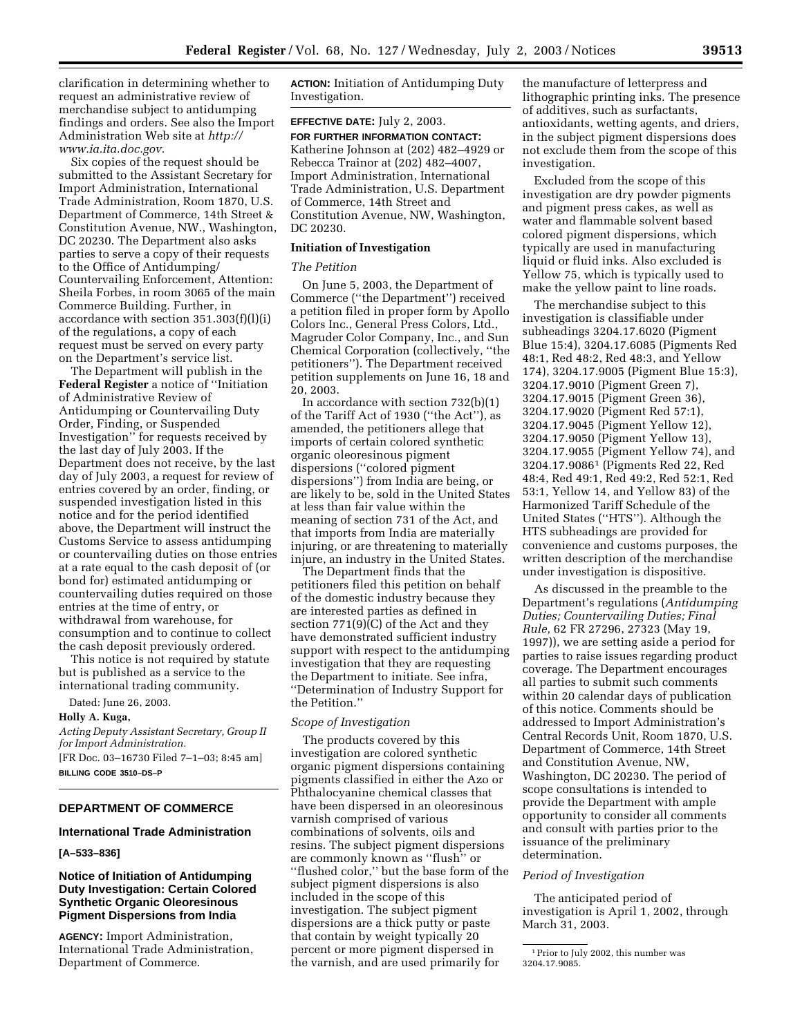clarification in determining whether to request an administrative review of merchandise subject to antidumping findings and orders. See also the Import Administration Web site at *http:// www.ia.ita.doc.gov.*

Six copies of the request should be submitted to the Assistant Secretary for Import Administration, International Trade Administration, Room 1870, U.S. Department of Commerce, 14th Street & Constitution Avenue, NW., Washington, DC 20230. The Department also asks parties to serve a copy of their requests to the Office of Antidumping/ Countervailing Enforcement, Attention: Sheila Forbes, in room 3065 of the main Commerce Building. Further, in accordance with section 351.303(f)(l)(i) of the regulations, a copy of each request must be served on every party on the Department's service list.

The Department will publish in the **Federal Register** a notice of ''Initiation of Administrative Review of Antidumping or Countervailing Duty Order, Finding, or Suspended Investigation'' for requests received by the last day of July 2003. If the Department does not receive, by the last day of July 2003, a request for review of entries covered by an order, finding, or suspended investigation listed in this notice and for the period identified above, the Department will instruct the Customs Service to assess antidumping or countervailing duties on those entries at a rate equal to the cash deposit of (or bond for) estimated antidumping or countervailing duties required on those entries at the time of entry, or withdrawal from warehouse, for consumption and to continue to collect the cash deposit previously ordered.

This notice is not required by statute but is published as a service to the international trading community.

Dated: June 26, 2003.

#### **Holly A. Kuga,**

*Acting Deputy Assistant Secretary, Group II for Import Administration.*

[FR Doc. 03–16730 Filed 7–1–03; 8:45 am] **BILLING CODE 3510–DS–P**

## **DEPARTMENT OF COMMERCE**

## **International Trade Administration**

## **[A–533–836]**

## **Notice of Initiation of Antidumping Duty Investigation: Certain Colored Synthetic Organic Oleoresinous Pigment Dispersions from India**

**AGENCY:** Import Administration, International Trade Administration, Department of Commerce.

**ACTION:** Initiation of Antidumping Duty Investigation.

# **EFFECTIVE DATE:** July 2, 2003.

**FOR FURTHER INFORMATION CONTACT:** Katherine Johnson at (202) 482–4929 or Rebecca Trainor at (202) 482–4007, Import Administration, International Trade Administration, U.S. Department of Commerce, 14th Street and Constitution Avenue, NW, Washington, DC 20230.

## **Initiation of Investigation**

#### *The Petition*

On June 5, 2003, the Department of Commerce (''the Department'') received a petition filed in proper form by Apollo Colors Inc., General Press Colors, Ltd., Magruder Color Company, Inc., and Sun Chemical Corporation (collectively, ''the petitioners''). The Department received petition supplements on June 16, 18 and 20, 2003.

In accordance with section 732(b)(1) of the Tariff Act of 1930 (''the Act''), as amended, the petitioners allege that imports of certain colored synthetic organic oleoresinous pigment dispersions (''colored pigment dispersions'') from India are being, or are likely to be, sold in the United States at less than fair value within the meaning of section 731 of the Act, and that imports from India are materially injuring, or are threatening to materially injure, an industry in the United States.

The Department finds that the petitioners filed this petition on behalf of the domestic industry because they are interested parties as defined in section 771(9)(C) of the Act and they have demonstrated sufficient industry support with respect to the antidumping investigation that they are requesting the Department to initiate. See infra, ''Determination of Industry Support for the Petition.''

## *Scope of Investigation*

The products covered by this investigation are colored synthetic organic pigment dispersions containing pigments classified in either the Azo or Phthalocyanine chemical classes that have been dispersed in an oleoresinous varnish comprised of various combinations of solvents, oils and resins. The subject pigment dispersions are commonly known as ''flush'' or ''flushed color,'' but the base form of the subject pigment dispersions is also included in the scope of this investigation. The subject pigment dispersions are a thick putty or paste that contain by weight typically 20 percent or more pigment dispersed in the varnish, and are used primarily for

the manufacture of letterpress and lithographic printing inks. The presence of additives, such as surfactants, antioxidants, wetting agents, and driers, in the subject pigment dispersions does not exclude them from the scope of this investigation.

Excluded from the scope of this investigation are dry powder pigments and pigment press cakes, as well as water and flammable solvent based colored pigment dispersions, which typically are used in manufacturing liquid or fluid inks. Also excluded is Yellow 75, which is typically used to make the yellow paint to line roads.

The merchandise subject to this investigation is classifiable under subheadings 3204.17.6020 (Pigment Blue 15:4), 3204.17.6085 (Pigments Red 48:1, Red 48:2, Red 48:3, and Yellow 174), 3204.17.9005 (Pigment Blue 15:3), 3204.17.9010 (Pigment Green 7), 3204.17.9015 (Pigment Green 36), 3204.17.9020 (Pigment Red 57:1), 3204.17.9045 (Pigment Yellow 12), 3204.17.9050 (Pigment Yellow 13), 3204.17.9055 (Pigment Yellow 74), and 3204.17.90861 (Pigments Red 22, Red 48:4, Red 49:1, Red 49:2, Red 52:1, Red 53:1, Yellow 14, and Yellow 83) of the Harmonized Tariff Schedule of the United States (''HTS''). Although the HTS subheadings are provided for convenience and customs purposes, the written description of the merchandise under investigation is dispositive.

As discussed in the preamble to the Department's regulations (*Antidumping Duties; Countervailing Duties; Final Rule,* 62 FR 27296, 27323 (May 19, 1997)), we are setting aside a period for parties to raise issues regarding product coverage. The Department encourages all parties to submit such comments within 20 calendar days of publication of this notice. Comments should be addressed to Import Administration's Central Records Unit, Room 1870, U.S. Department of Commerce, 14th Street and Constitution Avenue, NW, Washington, DC 20230. The period of scope consultations is intended to provide the Department with ample opportunity to consider all comments and consult with parties prior to the issuance of the preliminary determination.

#### *Period of Investigation*

The anticipated period of investigation is April 1, 2002, through March 31, 2003.

<sup>1</sup>Prior to July 2002, this number was 3204.17.9085.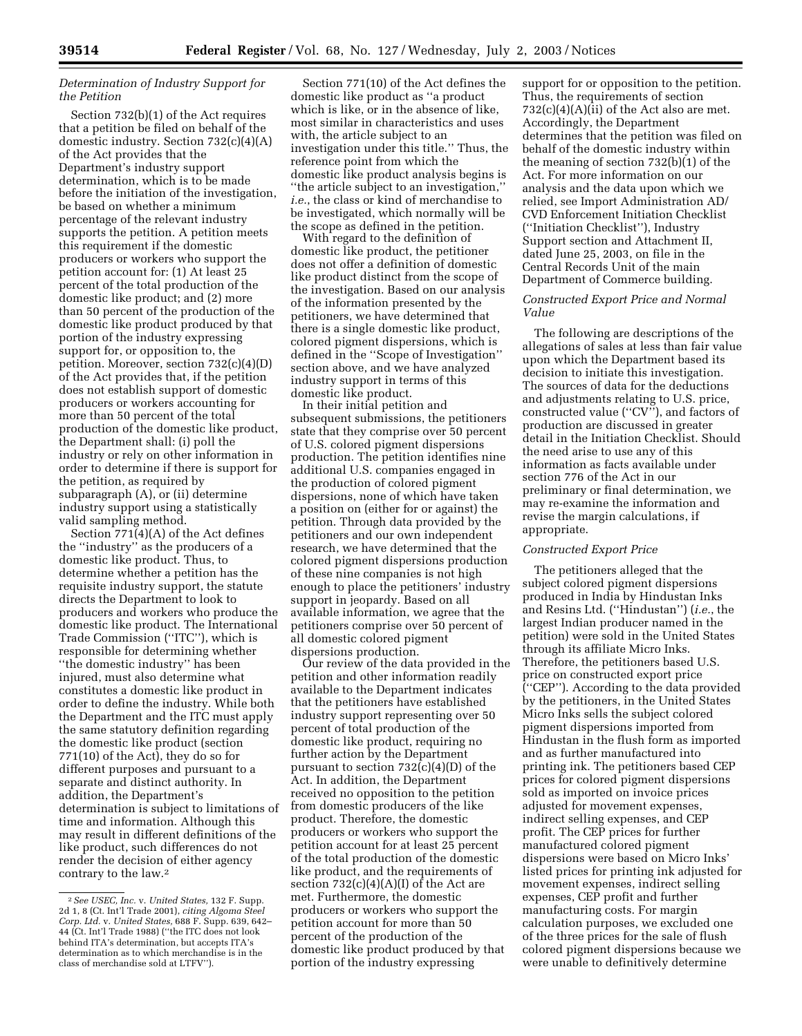## *Determination of Industry Support for the Petition*

Section 732(b)(1) of the Act requires that a petition be filed on behalf of the domestic industry. Section 732(c)(4)(A) of the Act provides that the Department's industry support determination, which is to be made before the initiation of the investigation, be based on whether a minimum percentage of the relevant industry supports the petition. A petition meets this requirement if the domestic producers or workers who support the petition account for: (1) At least 25 percent of the total production of the domestic like product; and (2) more than 50 percent of the production of the domestic like product produced by that portion of the industry expressing support for, or opposition to, the petition. Moreover, section 732(c)(4)(D) of the Act provides that, if the petition does not establish support of domestic producers or workers accounting for more than 50 percent of the total production of the domestic like product, the Department shall: (i) poll the industry or rely on other information in order to determine if there is support for the petition, as required by subparagraph (A), or (ii) determine industry support using a statistically valid sampling method.

Section 771(4)(A) of the Act defines the ''industry'' as the producers of a domestic like product. Thus, to determine whether a petition has the requisite industry support, the statute directs the Department to look to producers and workers who produce the domestic like product. The International Trade Commission (''ITC''), which is responsible for determining whether ''the domestic industry'' has been injured, must also determine what constitutes a domestic like product in order to define the industry. While both the Department and the ITC must apply the same statutory definition regarding the domestic like product (section 771(10) of the Act), they do so for different purposes and pursuant to a separate and distinct authority. In addition, the Department's determination is subject to limitations of time and information. Although this may result in different definitions of the like product, such differences do not render the decision of either agency contrary to the law.2

Section 771(10) of the Act defines the domestic like product as ''a product which is like, or in the absence of like, most similar in characteristics and uses with, the article subject to an investigation under this title.'' Thus, the reference point from which the domestic like product analysis begins is ''the article subject to an investigation,'' *i.e.*, the class or kind of merchandise to be investigated, which normally will be the scope as defined in the petition.

With regard to the definition of domestic like product, the petitioner does not offer a definition of domestic like product distinct from the scope of the investigation. Based on our analysis of the information presented by the petitioners, we have determined that there is a single domestic like product, colored pigment dispersions, which is defined in the ''Scope of Investigation'' section above, and we have analyzed industry support in terms of this domestic like product.

In their initial petition and subsequent submissions, the petitioners state that they comprise over 50 percent of U.S. colored pigment dispersions production. The petition identifies nine additional U.S. companies engaged in the production of colored pigment dispersions, none of which have taken a position on (either for or against) the petition. Through data provided by the petitioners and our own independent research, we have determined that the colored pigment dispersions production of these nine companies is not high enough to place the petitioners' industry support in jeopardy. Based on all available information, we agree that the petitioners comprise over 50 percent of all domestic colored pigment dispersions production.

Our review of the data provided in the petition and other information readily available to the Department indicates that the petitioners have established industry support representing over 50 percent of total production of the domestic like product, requiring no further action by the Department pursuant to section  $732(c)(4)(D)$  of the Act. In addition, the Department received no opposition to the petition from domestic producers of the like product. Therefore, the domestic producers or workers who support the petition account for at least 25 percent of the total production of the domestic like product, and the requirements of section  $732(c)(4)(A)(I)$  of the Act are met. Furthermore, the domestic producers or workers who support the petition account for more than 50 percent of the production of the domestic like product produced by that portion of the industry expressing

support for or opposition to the petition. Thus, the requirements of section  $732(c)(4)(A)(ii)$  of the Act also are met. Accordingly, the Department determines that the petition was filed on behalf of the domestic industry within the meaning of section 732(b)(1) of the Act. For more information on our analysis and the data upon which we relied, see Import Administration AD/ CVD Enforcement Initiation Checklist (''Initiation Checklist''), Industry Support section and Attachment II, dated June 25, 2003, on file in the Central Records Unit of the main Department of Commerce building.

## *Constructed Export Price and Normal Value*

The following are descriptions of the allegations of sales at less than fair value upon which the Department based its decision to initiate this investigation. The sources of data for the deductions and adjustments relating to U.S. price, constructed value (''CV''), and factors of production are discussed in greater detail in the Initiation Checklist. Should the need arise to use any of this information as facts available under section 776 of the Act in our preliminary or final determination, we may re-examine the information and revise the margin calculations, if appropriate.

## *Constructed Export Price*

The petitioners alleged that the subject colored pigment dispersions produced in India by Hindustan Inks and Resins Ltd. (''Hindustan'') (*i.e.*, the largest Indian producer named in the petition) were sold in the United States through its affiliate Micro Inks. Therefore, the petitioners based U.S. price on constructed export price (''CEP''). According to the data provided by the petitioners, in the United States Micro Inks sells the subject colored pigment dispersions imported from Hindustan in the flush form as imported and as further manufactured into printing ink. The petitioners based CEP prices for colored pigment dispersions sold as imported on invoice prices adjusted for movement expenses, indirect selling expenses, and CEP profit. The CEP prices for further manufactured colored pigment dispersions were based on Micro Inks' listed prices for printing ink adjusted for movement expenses, indirect selling expenses, CEP profit and further manufacturing costs. For margin calculation purposes, we excluded one of the three prices for the sale of flush colored pigment dispersions because we were unable to definitively determine

<sup>2</sup>*See USEC, Inc.* v. *United States,* 132 F. Supp. 2d 1, 8 (Ct. Int'l Trade 2001), *citing Algoma Steel Corp. Ltd.* v. *United States,* 688 F. Supp. 639, 642– 44 (Ct. Int'l Trade 1988) (''the ITC does not look behind ITA's determination, but accepts ITA's determination as to which merchandise is in the class of merchandise sold at LTFV'').